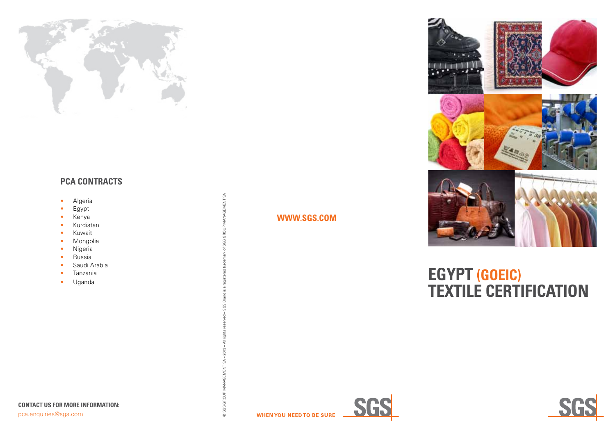

### **PCA CONTRACT S**

- Algeria
- Egypt
- Kenya
- Kurdistan
- Kuwait
- Mongolia
- Nigeria
- Russia
- Saudi Arabia
- Tanzania
- Uganda

## **WWW.S GS.CO M**





# **egypt (goeic) textile certification**





© SGS GROUP MANAGEMENT SA – 2013 – All rights reserved – SGS Brand is a registered trademark of SGS GROUP MANAGEMENT SA

© SGS GROL

MANAGEMENT SA

GROUP SO.